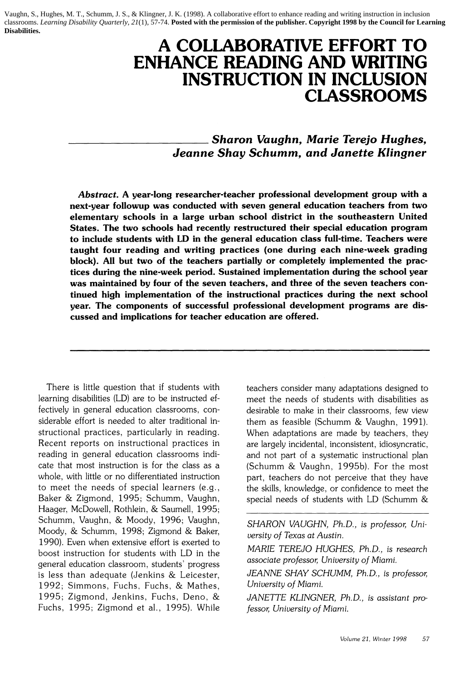Vaughn, S., Hughes, M. T., Schumm, J. S., & Klingner, J. K. (1998). A collaborative effort to enhance reading and writing instruction in inclusion classrooms. *Learning Disability Quarterly, 21*(1)*,* 57-74. **Posted with the permission of the publisher. Copyright 1998 by the Council for Learning Disabilities.**

# **A COLLABORATIVE EFFORT TO ENHANCE READING AND WRITING INSTRUCTION IN INCLUSION CLASSROOMS**

*Sharon Vaughn, Marie Terejo Hughes, Jeanne Shay Schumm, and Janette Klingner* 

Abstract. A year-long researcher-teacher professional development group with a next-year followup was conducted with seven general education teachers from two elementary schools in a large urban school district in the southeastern United States. The two schools had recently restructured their special education program to include students with LD in the general education class full-time. Teachers were taught four reading and writing practices (one during each nine-week grading block). All but two of the teachers partially or completely implemented the practices during the nine-week period. Sustained implementation during the school year was maintained by four of the seven teachers, and three of the seven teachers continued high implementation of the instructional practices during the next school year. The components of successful professional development programs are discussed and implications for teacher education are offered.

There is little question that if students with teachers consider many adaptations designed to learning disabilities (LD) are to be instructed ef- meet the needs of students with disabilities as fectively in general education classrooms, con- desirable to make in their classrooms, few view siderable effort is needed to alter traditional in- them as feasible (Schumm & Vaughn, 1991). structional practices, particularly in reading. When adaptations are made by teachers, they<br>Recent reports on instructional practices in are largely incidental, inconsistent, idiosyncratic, reading in general education classrooms indi- and not part of a systematic instructional plan cate that most instruction is for the class as a (Schumm & Vaughn. 1995b). For the most whole, with little or no differentiated instruction part, teachers do not perceive that they have<br>to meet the needs of special learners (e.g., the skills, knowledge, or confidence to meet the Baker & Zigmond, 1995; Schumm, Vaughn, special needs of students with LD (Schumm & Haager. McDowell. Rothlein. & Saumell, 1995; Schumm. Vaughn. & Moody, 1996; Vaughn. *SHARON VAUGHN, Ph.D., is professor, Uni-*Moody. & Schumm. 1998; Zigmond & Baker. *versity of Texas at Austin.*  1990). Even when extensive effort is exerted to boost instruction for students with LD in the *MARIE TEREJO HUGHES, Ph.D., is research* general education classroom, students' progress *associate projessor, University of Miami.*<br>
is less than adequate (Jenkins & Leicester *JEANNE SHAY SCHUMM, Ph.D., is professor*, is less than adequate (Jenkins & Leicester, 1992; Simmons, Fuchs, Fuchs, & Mathes, *Uniuersity of Miami.* 1995; Zigmond, Jenkins, Fuchs, Deno, & JANETTE KLINGNER, Ph.D., is assistant pro-Fuchs, 1995; Zigmond et al., 1995). While *fessor, Uniuersity of Miami.* 

are largely incidental, inconsistent, idiosyncratic, the skills, knowledge, or confidence to meet the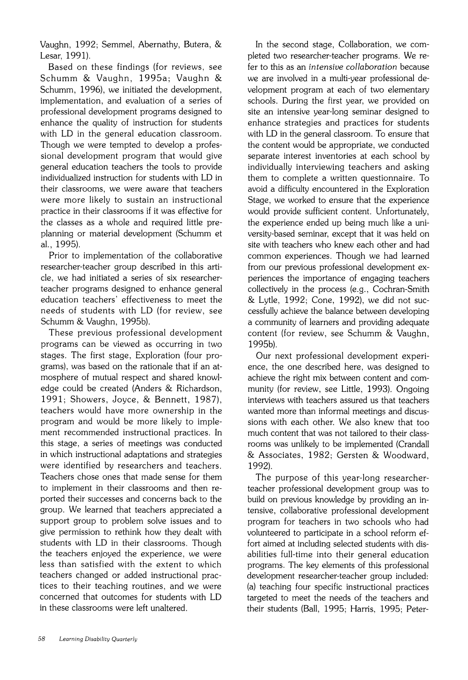Vaughn, 1992; Semmel, Abernathy, Butera, & Lesar, 1991).

Based on these findings (for reviews, see Schumm & Vaughn, 1995a; Vaughn & Schumm, 1996), we initiated the development, implementation, and evaluation of a series of professional development programs designed to enhance the quality of instruction for students with LD in the general education classroom. Though we were tempted to develop a professional development program that would give general education teachers the tools to provide individualized instruction for students with LD in their classrooms, we were aware that teachers were more likely to sustain an instructional practice in their classrooms if it was effective for the classes as a whole and required little preplanning or material development (Schumm et al., 1995).

Prior to implementation of the collaborative researcher-teacher group described in this article, we had initiated a series of six researcherteacher programs designed to enhance general education teachers' effectiveness to meet the needs of students with LD (for review, see Schumm & Vaughn, 1995b).

These previous professional development programs can be viewed as occurring in two stages. The first stage, Exploration (four programs), was based on the rationale that if an atmosphere of mutual respect and shared knowledge could be created (Anders & Richardson, 1991; Showers, Joyce, & Bennett, 1987), teachers would have more ownership in the program and would be more likely to implement recommended instructional practices. In this stage, a series of meetings was conducted in which instructional adaptations and strategies were identified by researchers and teachers. Teachers chose ones that made sense for them to implement in their classrooms and then reported their successes and concerns back to the group. We learned that teachers appreciated a support group to problem solve issues and to give permission to rethink how they dealt with students with LD in their classrooms. Though the teachers enjoyed the experience, we were less than satisfied with the extent to which teachers changed or added instructional practices to their teaching routines, and we were concerned that outcomes for students with LD in these classrooms were left unaltered.

In the second stage, Collaboration, we completed two researcher-teacher programs. We refer to this as an intensive collaboration because we are involved in a multi-year professional development program at each of two elementary schools. During the first year, we provided on site an intensive year-long seminar designed to enhance strategies and practices for students with LD in the general classroom. To ensure that the content would be appropriate, we conducted separate interest inventories at each school by individually interviewing teachers and asking them to complete a written questionnaire. To avoid a difficulty encountered in the Exploration Stage, we worked to ensure that the experience would provide sufficient content. Unfortunately, the experience ended up being much like a university-based seminar, except that it was held on site with teachers who knew each other and had common experiences. Though we had learned from our previous professional development experiences the importance of engaging teachers collectively in the process (e.g., Cochran-Smith & Lytle, 1992; Cone, 1992), we did not successfully achieve the balance between developing a community of learners and providing adequate content (for review, see Schumm & Vaughn, 1995b).

Our next professional development experience, the one described here, was designed to achieve the right mix between content and community (for review, see Little, 1993). Ongoing interviews with teachers assured us that teachers wanted more than informal meetings and discussions with each other. We also knew that too much content that was not tailored to their classrooms was unlikely to be implemented (Crandall & Associates, 1982; Gersten & Woodward, 1992).

The purpose of this year-long researcherteacher professional development group was to build on previous knowledge by providing an intensive, collaborative professional development program for teachers in two schools who had volunteered to participate in a school reform effort aimed at including selected students with disabilities full-time into their general education programs. The key elements of this professional development researcher-teacher group included: (a) teaching four specific instructional practices targeted to meet the needs of the teachers and their students (Ball, 1995; Harris, 1995; Peter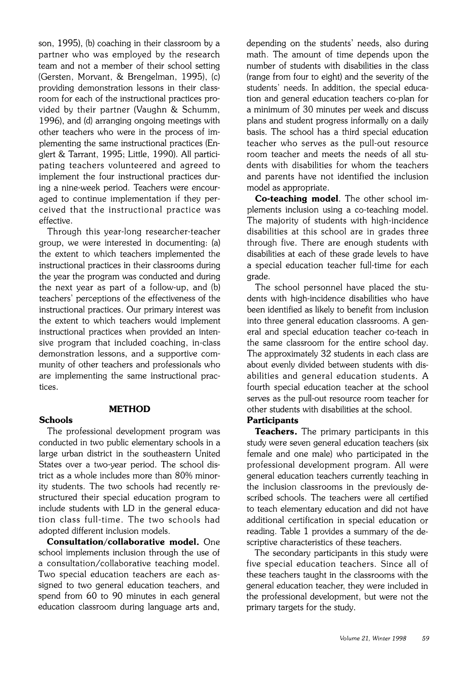son. 1995). (b) coaching in their classroom by a partner who was employed by the research team and not a member of their school setting (Gersten, Morvant. & Brengelman, 1995). (c) providing demonstration lessons in their classroom for each of the instructional practices provided by their partner (Vaughn & Schumm, 1996), and (d) arranging ongoing meetings with other teachers who were in the process of implementing the same instructional practices (Englert & Tarrant, 1995: Little, 1990). All participating teachers volunteered and agreed to implement the four instructional practices during a nine-week period. Teachers were encouraged to continue implementation if they perceived that the instructional practice was effective.

Through this year-long researcher-teacher group, we were interested in documenting: (a) the extent to which teachers implemented the instructional practices in their classrooms during the year the program was conducted and during the next year as part of a follow-up, and (b) teachers' perceptions of the effectiveness of the instructional practices. Our primary interest was the extent to which teachers would implement instructional practices when provided an intensive program that included coaching, in-class demonstration lessons, and a supportive community of other teachers and professionals who are implementing the same instructional practices.

#### **Schools**

**METHOD** 

The professional development program was conducted in two public elementary schools in a large urban district in the southeastern United States over a two-year period. The school district as a whole includes more than 80% minority students. The two schools had recently restructured their special education program to include students with LD in the general education class full-time. The two schools had adopted different inclusion models.

**Consultation/collaborative model.** One school implements inclusion through the use of a consultation/collaborative teaching model. Two special education teachers are each assigned to two general education teachers, and spend from 60 to 90 minutes in each general education classroom during language arts and.

depending on the students' needs, also during math. The amount of time depends upon the number of students with disabilities in the class (range from four to eight) and the severity of the students' needs. In addition, the special education and general education teachers co-plan for a minimum of 30 minutes per week and discuss plans and student progress informally on a daily basis. The school has a third special education teacher who serves as the pull-out resource room teacher and meets the needs of all students with disabilities for whom the teachers and parents have not identified the inclusion model as appropriate.

**Co-teaching model.** The other school implements inclusion using a co-teaching model. The majority of students with high-incidence disabilities at this school are in grades three through five. There are enough students with disabilities at each of these grade levels to have a special education teacher full-time for each grade.

The school personnel have placed the students with high-incidence disabilities who have been identified as likely to benefit from inclusion into three general education classrooms. A general and special education teacher co-teach in the same classroom for the entire school day. The approximately 32 students in each class are about evenly divided between students with disabilities and general education students. A fourth special education teacher at the school serves as the pull-out resource room teacher for other students with disabilities at the school.

#### **Participants**

**Teachers.** The primary participants in this study were seven general education teachers (six female and one male) who participated in the professional development program. All were general education teachers currently teaching in the inclusion classrooms in the previously described schools. The teachers were all certified to teach elementary education and did not have additional certification in special education or reading. Table 1 provides a summary of the descriptive characteristics of these teachers.

The secondary participants in this study were five special education teachers. Since all of these teachers taught in the classrooms with the general education teacher, they were included in the professional development, but were not the primary targets for the study.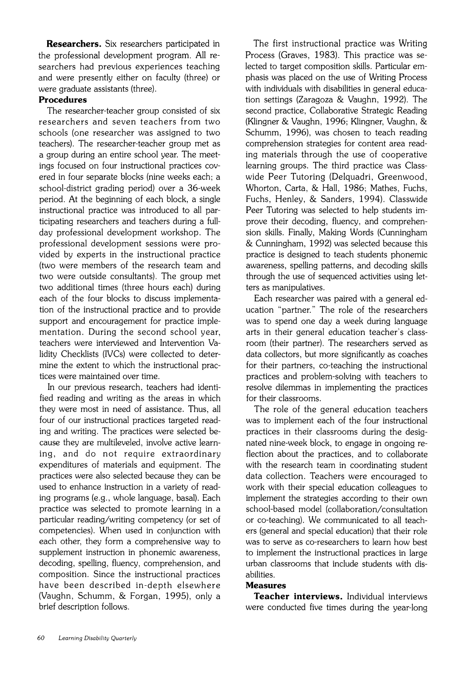**Researchers.** Six researchers participated in the professional development program. All researchers had previous experiences teaching and were presently either on faculty (three) or were graduate assistants (three).

#### **Procedures**

The researcher-teacher group consisted of six researchers and seven teachers from two schools (one researcher was assigned to two teachers). The researcher-teacher group met as a group during an entire school year. The meetings focused on four instructional practices covered in four separate blocks (nine weeks each: a school-district grading period) over a 36-week period. At the beginning of each block, a single instructional practice was introduced to all participating researchers and teachers during a fullday professional development workshop. The professional development sessions were provided by experts in the instructional practice (two were members of the research team and two were outside consultants). The group met two additional times (three hours each) during each of the four blocks to discuss implementation of the instructional practice and to provide support and encouragement for practice implementation. During the second school year. teachers were interviewed and Intervention Validity Checklists (IVCs) were collected to determine the extent to which the instructional practices were maintained over time.

In our previous research, teachers had identified reading and writing as the areas in which they were most in need of assistance. Thus, all four of our instructional practices targeted reading and writing. The practices were selected because they are multileveled, involve active learning, and do not require extraordinary expenditures of materials and equipment. The practices were also selected because they can be used to enhance instruction in a variety of reading programs (e.g., whole language, basal). Each practice was selected to promote learning in a particular reading/writing competency (or set of competencies). When used in conjunction with each other, they form a comprehensive way to supplement instruction in phonemic awareness, decoding, spelling, fluency, comprehension, and composition. Since the instructional practices have been described in-depth elsewhere (Vaughn, Schumm, & Forgan, 1995), only a brief description follows.

The first instructional practice was Writing Process (Graves, 1983). This practice was selected to target composition skills. Particular emphasis was placed on the use of Writing Process with individuals with disabilities in general education settings (Zaragoza & Vaughn, 1992). The second practice. Collaborative Strategic Reading (Klingner & Vaughn. 1996: Klingner, Vaughn. & Schumm, 1996), was chosen to teach reading comprehension strategies for content area reading materials through the use of cooperative learning groups. The third practice was Classwide Peer Tutoring (Delquadri. Greenwood. Whorton, Carta, & Hall, 1986; Mathes. Fuchs. Fuchs, Henley, & Sanders, 1994). Classwide Peer Tutoring was selected to help students improve their decoding, fluency, and comprehension skills. Finally. Making Words (Cunningham & Cunningham, 1992) was selected because this practice is designed to teach students phonemic awareness, spelling patterns, and decoding skills through the use of sequenced activities using letters as manipulatives.

Each researcher was paired with a general education "partner." The role of the researchers was to spend one day a week during language arts in their general education teacher's classroom (their partner). The researchers served as data collectors, but more significantly as coaches for their partners, co-teaching the instructional practices and problem-solving with teachers to resolve dilemmas in implementing the practices for their classrooms.

The role of the general education teachers was to implement each of the four instructional practices in their classrooms during the designated nine-week block, to engage in ongoing reflection about the practices, and to collaborate with the research team in coordinating student data collection. Teachers were encouraged to work with their special education colleagues to implement the strategies according to their own school-based model (collaboration/consultation or co-teaching). We communicated to all teachers (general and special education) that their role was to serve as co-researchers to learn how best to implement the instructional practices in large urban classrooms that include students with disabilities.

#### **Measures**

**Teacher interviews.** Individual interviews were conducted five times during the year-long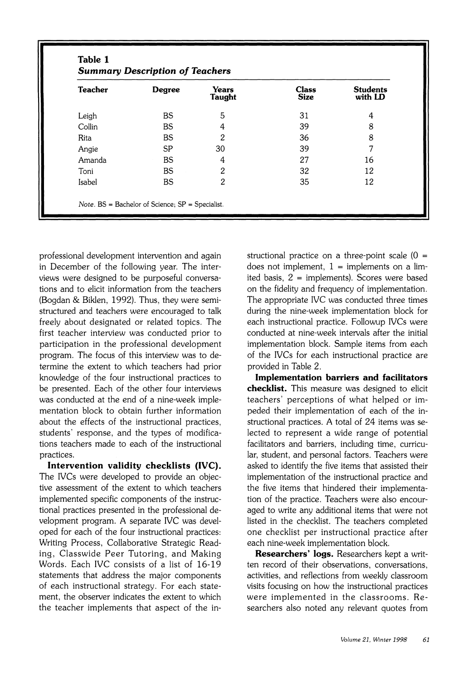| <b>Teacher</b> | <b>Degree</b> | Years<br><b>Taught</b> | <b>Class</b><br><b>Size</b> | <b>Students</b><br>with LD |
|----------------|---------------|------------------------|-----------------------------|----------------------------|
| Leigh          | <b>BS</b>     | 5                      | 31                          | 4                          |
| Collin         | <b>BS</b>     | 4                      | 39                          | 8                          |
| Rita           | <b>BS</b>     | 2                      | 36                          | 8                          |
| Angie          | <b>SP</b>     | 30                     | 39                          |                            |
| Amanda         | <b>BS</b>     | 4                      | 27                          | 16                         |
| Toni           | <b>BS</b>     | 2                      | 32                          | 12                         |
| Isabel         | <b>BS</b>     | 2                      | 35                          | 12                         |

professional development intervention and again in December of the following year. The interviews were designed to be purposeful conversations and to elicit information from the teachers (Bogdan & Biklen, 1992). Thus, they were semistructured and teachers were encouraged to talk freely about designated or related topics. The first teacher interview was conducted prior to participation in the professional development program. The focus of this interview was to determine the extent to which teachers had prior knowledge of the four instructional practices to be presented. Each of the other four interviews was conducted at the end of a nine-week implementation block to obtain further information about the effects of the instructional practices. students' response, and the types of modifications teachers made to each of the instructional practices.

**Intervention validity checklists (IVC).**  The IVCs were developed to provide an objective assessment of the extent to which teachers implemented specific components of the instructional practices presented in the professional development program. A separate IVC was developed for each of the four instructional practices: Writing Process, Collaborative Strategic Reading, Classwide Peer Tutoring, and Making Words. Each IVC consists of a list of 16-19 statements that address the major components of each instructional strategy. For each statement, the observer indicates the extent to which the teacher implements that aspect of the instructional practice on a three-point scale  $(0 =$ does not implement,  $1 =$  implements on a limited basis. 2 = implements). Scores were based on the fidelity and frequency of implementation. The appropriate IVC was conducted three times during the nine-week implementation block for each instructional practice. Followup IVCs were conducted at nine-week intervals after the initial implementation block. Sample items from each of the IVCs for each instructional practice are provided in Table 2.

**Implementation barriers and facilitators checklist.** This measure was designed to elicit teachers' perceptions of what helped or impeded their implementation of each of the instructional practices. A total of 24 items was selected to represent a wide range of potential facilitators and barriers, including time, curricular, student, and personal factors. Teachers were asked to identify the five items that assisted their implementation of the instructional practice and the five items that hindered their implementation of the practice. Teachers were also encouraged to write any additional items that were not listed in the checklist. The teachers completed one checklist per instructional practice after each nine-week implementation block.

**Researchers' logs.** Researchers kept a written record of their observations. conversations. activities, and reflections from weekly classroom visits focusing on how the instructional practices were implemented in the classrooms. Researchers also noted any relevant quotes from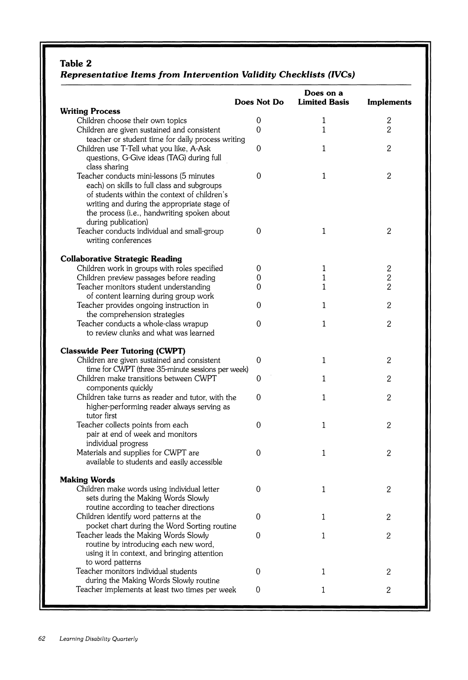#### *Table 2*

### *Representative Items from Intervention Validity Checklists (IVCs)*

|                                                                                             | Does Not Do      | Does on a<br><b>Limited Basis</b> | <b>Implements</b> |
|---------------------------------------------------------------------------------------------|------------------|-----------------------------------|-------------------|
| <b>Writing Process</b>                                                                      |                  |                                   |                   |
| Children choose their own topics                                                            | 0                | 1                                 | 2                 |
| Children are given sustained and consistent                                                 | $\Omega$         | $\mathbf{1}$                      | $\overline{2}$    |
| teacher or student time for daily process writing                                           |                  |                                   |                   |
| Children use T-Tell what you like, A-Ask                                                    | 0                | $\mathbf{1}$                      | $\mathbf{2}$      |
| questions, G-Give ideas (TAG) during full                                                   |                  |                                   |                   |
| class sharing                                                                               |                  |                                   |                   |
| Teacher conducts mini-lessons (5 minutes                                                    | 0                | $\mathbf{1}$                      | 2                 |
| each) on skills to full class and subgroups<br>of students within the context of children's |                  |                                   |                   |
| writing and during the appropriate stage of                                                 |                  |                                   |                   |
| the process (i.e., handwriting spoken about                                                 |                  |                                   |                   |
| during publication)                                                                         |                  |                                   |                   |
| Teacher conducts individual and small-group                                                 | 0                | $\mathbf{1}$                      | $\mathbf{2}$      |
| writing conferences                                                                         |                  |                                   |                   |
|                                                                                             |                  |                                   |                   |
| <b>Collaborative Strategic Reading</b>                                                      |                  |                                   |                   |
| Children work in groups with roles specified                                                | 0                | 1                                 | 2                 |
| Children preview passages before reading                                                    | 0                | 1                                 | $\overline{c}$    |
| Teacher monitors student understanding                                                      | 0                | 1                                 | $\overline{2}$    |
| of content learning during group work                                                       |                  |                                   |                   |
| Teacher provides ongoing instruction in                                                     | 0                | 1                                 | 2                 |
| the comprehension strategies                                                                |                  |                                   |                   |
| Teacher conducts a whole-class wrapup                                                       | 0                | $\mathbf{1}$                      | $\mathbf{2}$      |
| to review clunks and what was learned                                                       |                  |                                   |                   |
| <b>Classwide Peer Tutoring (CWPT)</b>                                                       |                  |                                   |                   |
| Children are given sustained and consistent                                                 | 0                | $\mathbf{1}$                      | $\overline{2}$    |
| time for CWPT (three 35-minute sessions per week)                                           |                  |                                   |                   |
| Children make transitions between CWPT                                                      | 0                | $\mathbf{1}$                      | $\mathbf{2}$      |
| components quickly                                                                          |                  |                                   |                   |
| Children take turns as reader and tutor, with the                                           | 0                | 1                                 | 2                 |
| higher-performing reader always serving as                                                  |                  |                                   |                   |
| tutor first                                                                                 |                  |                                   |                   |
| Teacher collects points from each                                                           | 0                | 1                                 | 2                 |
| pair at end of week and monitors                                                            |                  |                                   |                   |
| individual progress                                                                         |                  |                                   |                   |
| Materials and supplies for CWPT are                                                         | 0                | 1                                 | $\overline{2}$    |
| available to students and easily accessible                                                 |                  |                                   |                   |
| <b>Making Words</b>                                                                         |                  |                                   |                   |
| Children make words using individual letter                                                 | 0                | 1                                 | 2                 |
| sets during the Making Words Slowly                                                         |                  |                                   |                   |
| routine according to teacher directions                                                     |                  |                                   |                   |
| Children identify word patterns at the                                                      | $\mathbf 0$      | 1                                 | 2                 |
| pocket chart during the Word Sorting routine                                                |                  |                                   |                   |
| Teacher leads the Making Words Slowly                                                       | 0                | $\mathbf{1}$                      | $\boldsymbol{2}$  |
| routine by introducing each new word,                                                       |                  |                                   |                   |
| using it in context, and bringing attention                                                 |                  |                                   |                   |
| to word patterns                                                                            |                  |                                   |                   |
| Teacher monitors individual students                                                        | 0                | 1                                 | $\sqrt{2}$        |
| during the Making Words Slowly routine                                                      |                  |                                   |                   |
| Teacher implements at least two times per week                                              | $\boldsymbol{0}$ | $\mathbf 1$                       | $\overline{2}$    |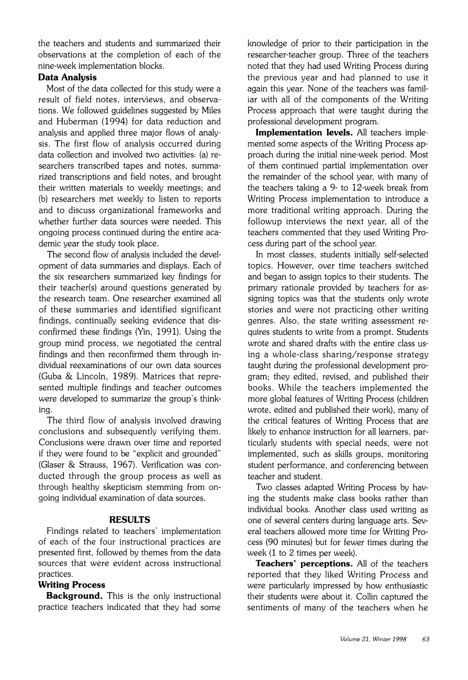the teachers and students and summarized their observations at the completion of each of the nine-week implementation blocks.

#### **Data Analysis**

Most of the data collected for this study were a result of field notes, interviews, and observations. We followed guidelines suggested by Miles and Huberman (1994) for data reduction and analysis and applied three major flows of analysis. The first flow of analysis occurred during data collection and involved two activities: (a) researchers transcribed tapes and notes, summarized transcriptions and field notes. and brought their written materials to weekly meetings; and (b) researchers met weekly to listen to reports and to discuss organizational frameworks and whether further data sources were needed. This ongoing process continued during the entire academic year the study took place.

The second flow of analysis included the development of data summaries and displays. Each of the six researchers summarized key findings for their teacher(s) around questions generated by the research team. One researcher examined all of these summaries and identified significant findings. continually seeking evidence that disconfirmed these findings (Yin, 1991). Using the group mind process, we negotiated the central findings and then reconfirmed them through individual reexaminations of our own data sources (Guba & Lincoln. 1989). Matrices that represented multiple findings and teacher outcomes were developed to summarize the group's thinking.

The third flow of analysis involved drawing conclusions and subsequently verifying them. Conclusions were drawn over time and reported if they were found to be "explicit and grounded" (Glaser & Strauss. 1967). Verification was conducted through the group process as well as through healthy skepticism stemming from ongoing individual examination of data sources.

#### **RESULTS**

Findings related to teachers' implementation of each of the four instructional practices are presented first, followed by themes from the data sources that were evident across instructional practices.

#### **Writing Process**

**Background.** This is the only instructional practice teachers indicated that they had some knowledge of prior to their participation in the researcher-teacher group. Three of the teachers noted that they had used Writing Process during the previous year and had planned to use it again this year. None of the teachers was familiar with all of the components of the Writing Process approach that were taught during the professional development program.

**Implementation levels.** All teachers implemented some aspects of the Writing Process approach during the initial nine-week period. Most of them continued partial implementation over the remainder of the school year. with many of the teachers taking a 9- to 12-week break from Writing Process implementation to introduce a more traditional writing approach. During the followup interviews the next year. all of the teachers commented that they used Writing Process during part of the school year.

In most classes, students initially self-selected topics. However. over time teachers switched and began to assign topics to their students. The primary rationale provided by teachers for assigning topics was that the students only wrote stories and were not practicing other writing genres. Also. the state writing assessment requires students to write from a prompt. Students wrote and shared drafts with the entire class using a whole-class sharing/response strategy taught during the professional development program: they edited, revised, and published their books. While the teachers implemented the more global features of Writing Process (children wrote, edited and published their work), many of the critical features of Writing Process that are likely to enhance instruction for all learners. particularly students with special needs, were not implemented. such as skills groups, monitoring student performance. and conferencing between teacher and student.

Two classes adapted Writing Process by having the students make class books rather than individual books. Another class used writing as one of several centers during language arts. Several teachers allowed more time for Writing Process (90 minutes) but for fewer times during the week  $(1 \text{ to } 2 \text{ times per week}).$ 

**Teachers' perceptions.** All of the teachers reported that they liked Writing Process and were particularly impressed by how enthusiastic their students were about it. Collin captured the sentiments of many of the teachers when he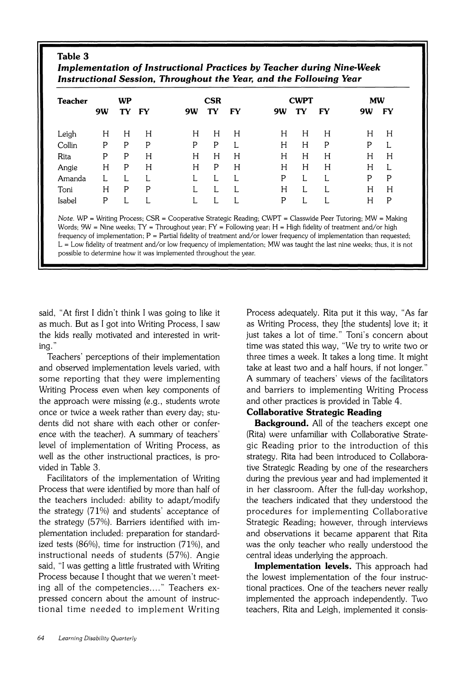#### **Table 3 Implementation of Instructional Practices by Teacher during Nine-Week Instructional Session, Throughout the Year, and the Following Year**

| Teacher | WP |    |           |    | CSR |    |    | <b>CWPT</b> |    |    | <b>MW</b> |  |
|---------|----|----|-----------|----|-----|----|----|-------------|----|----|-----------|--|
|         | 9W | TY | <b>FY</b> | 9W | TY  | FY | 9W | TY          | FY | 9W | FY        |  |
| Leigh   | H  | H  | Н         | H  | Η   | H  | H  | H           | H  | H  | Η         |  |
| Collin  | P  | P  | P         | P  | P   | L  | H  | Н           | P  | P  | L         |  |
| Rita    | P  | P  | H         | H  | H   | H  | Н  | H           | Н  | Н  | H         |  |
| Angie   | H  | Ρ  | H         | Н  | P   | H  | H  | H           | Н  | Н  |           |  |
| Amanda  |    |    |           |    |     |    | P  |             |    | P  | P         |  |
| Toni    | H  | P  | P         |    |     |    | Н  |             |    | Н  | Н         |  |
| Isabel  | P  |    |           |    |     |    | P  |             |    | H  | P         |  |

Note. WP = Writing Process; CSR = Cooperative Strategic Reading; CWPT = Classwide Peer Tutoring; MW = Making Words:  $9W =$  Nine weeks: TY = Throughout year:  $FY =$  Following year;  $H =$  High fidelity of treatment and/or high frequency of implementation;  $P =$  Partial fidelity of treatment and/or lower frequency of implementation than requested;  $L = Low$  fidelity of treatment and/or low frequency of implementation; MW was taught the last nine weeks; thus, it is not possible to determine how it was implemented throughout the year.

said. "At first I didn't think I was going to like it Process adequately. Rita put it this way. "As far as much. But as I got into Writing Process. I saw as Writing Process. they [the students] love it: it the kids really motivated and interested in writ- just takes a lot of time." Toni's concern about

and observed implementation levels varied, with take at least two and a half hours, if not longer." some reporting that they were implementing A summary of teachers' views of the facilitators Writing Process even when key components of and barriers to implementing Writing Process the approach were missing (e.g., students wrote and other practices is provided in Table 4. once or twice a week rather than every day: stu- **Collaborative Strategic Reading**  dents did not share with each other or confer- **Background.** All of the teachers except one ence with the teacher). A summary of teachers' (Rita) were unfamiliar with Collaborative Stratelevel of implementation of Writing Process. as gic Reading prior to the introduction of this well as the other instructional practices, is pro-<br>strategy. Rita had been introduced to Collaboravided in Table **3.** tive Strategic Reading by one of the researchers

Process that were identified by more than half of in her classroom. After the full-day workshop, the teachers included: ability to adapt/modify the teachers indicated that they understood the the strategy (71%) and students' acceptance of procedures for implementing Collaborative the strategy (57%). Barriers identified with im- Strategic Reading; however, through interviews plementation included: preparation for standard- and observations it became apparent that Rita ized tests (86%), time for instruction (71%), and was the only teacher who really understood the instructional needs of students (57%). Angie central ideas underlying the approach. said, "I was getting a little frustrated with Writing **Implementation levels.** This approach had Process because I thought that we weren't meet-<br>the lowest implementation of the four instrucing all of the competencies...." Teachers ex-<br>tional practices. One of the teachers never really pressed concern about the amount of instruc- implemented the approach independently. Two tional time needed to implement Writing teachers, Rita and Leigh, implemented it consis-

ing.'' time was stated this way. "We try to write two or Teachers' perceptions of their implementation three times a week. It takes a long time. It might

Facilitators of the implementation of Writing during the previous year and had implemented it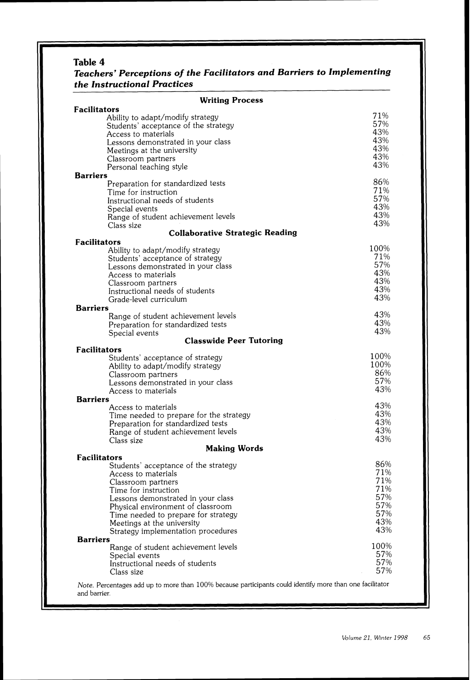#### *Table 4*

## *Teachers' Perceptions of the Facilitators and Barriers to Implementing the Instructional Practices*  **Writing Process**

| <b>WILLING LIVESS</b><br>Facilitators                                                                                                                                                                                                                                                           |                                                             |
|-------------------------------------------------------------------------------------------------------------------------------------------------------------------------------------------------------------------------------------------------------------------------------------------------|-------------------------------------------------------------|
| Ability to adapt/modify strategy<br>Students' acceptance of the strategy<br>Access to materials<br>Lessons demonstrated in your class<br>Meetings at the university<br>Classroom partners<br>Personal teaching style<br>Barriers                                                                | 71%<br>57%<br>43%<br>43%<br>43%<br>43%<br>43%               |
| Preparation for standardized tests<br>Time for instruction<br>Instructional needs of students<br>Special events<br>Range of student achievement levels<br>Class size<br><b>Collaborative Strategic Reading</b>                                                                                  | 86%<br>71%<br>57%<br>43%<br>43%<br>43%                      |
| Facilitators                                                                                                                                                                                                                                                                                    |                                                             |
| Ability to adapt/modify strategy<br>Students' acceptance of strategy<br>Lessons demonstrated in your class<br>Access to materials<br>Classroom partners<br>Instructional needs of students<br>Grade-level curriculum<br><b>Barriers</b>                                                         | 100%<br>71%<br>57%<br>43%<br>43%<br>43%<br>43%              |
| Range of student achievement levels                                                                                                                                                                                                                                                             | 43%                                                         |
| Preparation for standardized tests<br>Special events<br><b>Classwide Peer Tutoring</b>                                                                                                                                                                                                          | 43%<br>43%                                                  |
| <b>Facilitators</b>                                                                                                                                                                                                                                                                             |                                                             |
| Students' acceptance of strategy<br>Ability to adapt/modify strategy<br>Classroom partners<br>Lessons demonstrated in your class<br>Access to materials                                                                                                                                         | 100%<br>100%<br>86%<br>57%<br>43%                           |
| <b>Barriers</b>                                                                                                                                                                                                                                                                                 |                                                             |
| Access to materials<br>Time needed to prepare for the strategy<br>Preparation for standardized tests<br>Range of student achievement levels<br>Class size<br><b>Making Words</b>                                                                                                                | 43%<br>43%<br>43%<br>43%<br>43%                             |
| Facilitators                                                                                                                                                                                                                                                                                    |                                                             |
| Students' acceptance of the strategy<br>Access to materials<br>Classroom partners<br>Time for instruction<br>Lessons demonstrated in your class<br>Physical environment of classroom<br>Time needed to prepare for strategy<br>Meetings at the university<br>Strategy implementation procedures | 86%<br>71%<br>71%<br>71%<br>57%<br>57%<br>57%<br>43%<br>43% |
| <b>Barriers</b>                                                                                                                                                                                                                                                                                 |                                                             |
| Range of student achievement levels<br>Special events<br>Instructional needs of students<br>Class size                                                                                                                                                                                          | 100%<br>57%<br>57%<br>57%                                   |
| Note. Percentages add up to more than 100% because participants could identify more than one facilitator<br>and barrier.                                                                                                                                                                        |                                                             |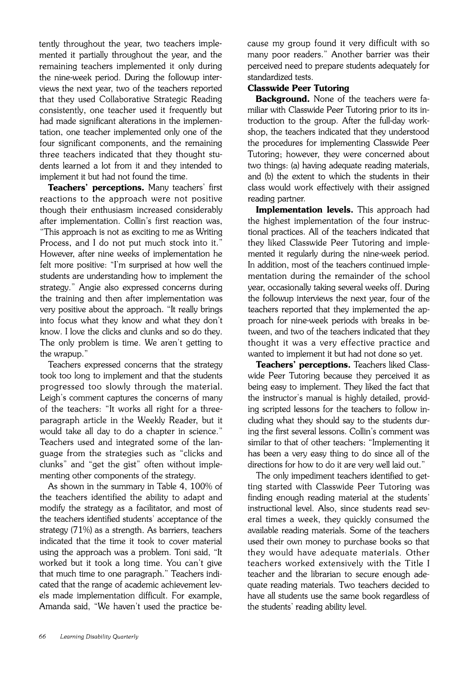tently throughout the year, two teachers implemented it partially throughout the year, and the remaining teachers implemented it only during the nine-week period. During the followup interviews the next year, two of the teachers reported that they used Collaborative Strategic Reading consistently, one teacher used it frequently but had made significant alterations in the implementation, one teacher implemented only one of the four significant components, and the remaining three teachers indicated that they thought students learned a lot from it and they intended to implement it but had not found the time.

**Teachers' perceptions.** Many teachers' first reactions to the approach were not positive though their enthusiasm increased considerably after implementation. Collin's first reaction was, "This approach is not as exciting to me as Writing Process, and I do not put much stock into it." However, after nine weeks of implementation he felt more positive: "I'm surprised at how well the students are understanding how to implement the strategy." Angie also expressed concerns during the training and then after implementation was very positive about the approach. "It really brings into focus what they know and what they don't know. I love the clicks and clunks and so do they. The only problem is time. We aren't getting to the wrapup."

Teachers expressed concerns that the strategy took too long to implement and that the students progressed too slowly through the material. Leigh's comment captures the concerns of many of the teachers: "It works all right for a threeparagraph article in the Weekly Reader, but it would take all day to do a chapter in science." Teachers used and integrated some of the language from the strategies such as "clicks and clunks" and "get the gist" often without implementing other components of the strategy.

As shown in the summary in Table 4, 100% of the teachers identified the ability to adapt and modify the strategy as a facilitator, and most of the teachers identified students' acceptance of the strategy  $(71%)$  as a strength. As barriers, teachers indicated that the time it took to cover material using the approach was a problem. Toni said, "It worked but it took a long time. You can't give that much time to one paragraph." Teachers indicated that the range of academic achievement levels made implementation difficult. For example. Amanda said, "We haven't used the practice because my group found it very difficult with so many poor readers." Another barrier was their perceived need to prepare students adequately for standardized tests.

#### **Classwide Peer Tutoring**

**Background.** None of the teachers were familiar with Classwide Peer Tutoring prior to its introduction to the group. After the full-day workshop, the teachers indicated that they understood the procedures for implementing Classwide Peer Tutoring; however, they were concerned about two things: (a) having adequate reading materials, and (b) the extent to which the students in their class would work effectively with their assigned reading partner.

**Implementation levels.** This approach had the highest implementation of the four instructional practices. All of the teachers indicated that they liked Classwide Peer Tutoring and implemented it regularly during the nine-week period. In addition, most of the teachers continued implementation during the remainder of the school year, occasionally taking several weeks off. During the followup interviews the next year, four of the teachers reported that they implemented the approach for nine-week periods with breaks in between, and two of the teachers indicated that they thought it was a very effective practice and wanted to implement it but had not done so yet.

**Teachers' perceptions.** Teachers liked Classwide Peer Tutoring because they perceived it as being easy to implement. They liked the fact that the instructor's manual is highly detailed, providing scripted lessons for the teachers to follow including what they should say to the students during the first several lessons. Collin's comment was similar to that of other teachers: "Implementing it has been a very easy thing to do since all of the directions for how to do it are very well laid out."

The only impediment teachers identified to getting started with Classwide Peer Tutoring was finding enough reading material at the students' instructional level. Also, since students read several times a week, they quickly consumed the available reading materials. Some of the teachers used their own money to purchase books so that they would have adequate materials. Other teachers worked extensively with the Title I teacher and the librarian to secure enough adequate reading materials. Two teachers decided to have all students use the same book regardless of the students' reading ability level.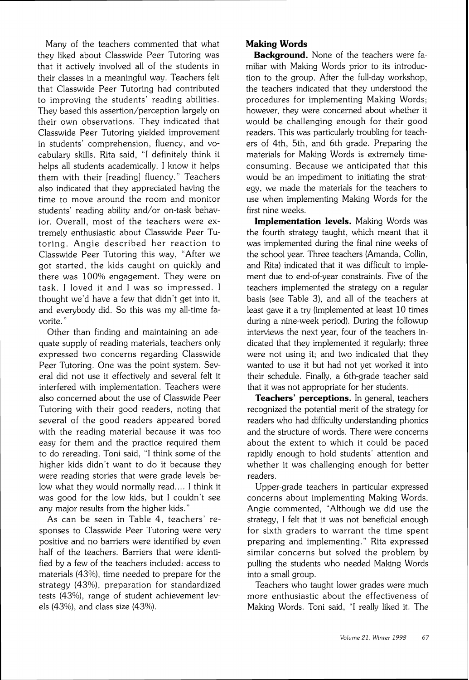Many of the teachers commented that what they liked about Classwide Peer Tutoring was that it actively involved all of the students in their classes in a meaningful way. Teachers felt that Classwide Peer Tutoring had contributed to improving the students' reading abilities. They based this assertion/perception largely on their own observations. They indicated that Classwide Peer Tutoring yielded improvement in students' comprehension, fluency, and vocabulary skills. Rita said, ''1 definitely think it helps all students academically. I know it helps them with their [reading] fluency." Teachers also indicated that they appreciated having the time to move around the room and monitor students' reading ability and/or on-task behavior. Overall, most of the teachers were extremely enthusiastic about Classwide Peer Tutoring. Angie described her reaction to Classwide Peer Tutoring this way, "After we got started, the kids caught on quickly and there was 100% engagement. They were on task. I loved it and I was so impressed. I thought we'd have a few that didn't get into it, and everybody did. So this was my all-time favorite."

Other than finding and maintaining an adequate supply of reading materials, teachers only expressed two concerns regarding Classwide Peer Tutoring. One was the point system. Several did not use it effectively and several felt it interfered with implementation. Teachers were also concerned about the use of Classwide Peer Tutoring with their good readers, noting that several of the good readers appeared bored with the reading material because it was too easy for them and the practice required them to do rereading. Toni said, "I think some of the higher kids didn't want to do it because they were reading stories that were grade levels below what they would normally read.... I think it was good for the low kids, but I couldn't see any major results from the higher kids."

As can be seen in Table 4, teachers' responses to Classwide Peer Tutoring were very positive and no barriers were identified by even half of the teachers. Barriers that were identified by a few of the teachers included: access to materials  $(43%)$ , time needed to prepare for the strategy (43%). preparation for standardized tests (43%). range of student achievement levels (43%). and class size (43%).

#### **Making Words**

**Background.** None of the teachers were familiar with Making Words prior to its introduction to the group. After the full-day workshop, the teachers indicated that they understood the procedures for implementing Making Words; however, they were concerned about whether it would be challenging enough for their good readers. This was particularly troubling for teachers of 4th, 5th, and 6th grade. Preparing the materials for Making Words is extremely timeconsuming. Because we anticipated that this would be an impediment to initiating the strategy, we made the materials for the teachers to use when implementing Making Words for the first nine weeks.

**Implementation levels.** Making Words was the fourth strategy taught, which meant that it was implemented during the final nine weeks of the school year. Three teachers (Amanda, Collin, and Rita) indicated that it was difficult to implement due to end-of-year constraints. Five of the teachers implemented the strategy on a regular basis (see Table **3),** and all of the teachers at least gave it a try (implemented at least 10 times during a nine-week period). During the followup interviews the next year, four of the teachers indicated that they implemented it regularly; three were not using it; and two indicated that they wanted to use it but had not yet worked it into their schedule. Finally, a 6th-grade teacher said that it was not appropriate for her students.

**Teachers' perceptions.** In general, teachers recognized the potential merit of the strategy for readers who had difficulty understanding phonics and the structure of words. There were concerns about the extent to which it could be paced rapidly enough to hold students' attention and whether it was challenging enough for better readers.

Upper-grade teachers in particular expressed concerns about implementing Making Words. Angie commented, "Although we did use the strategy, I felt that it was not beneficial enough for sixth graders to warrant the time spent preparing and implementing." Rita expressed similar concerns but solved the problem by pulling the students who needed Making Words into a small group.

Teachers who taught lower grades were much more enthusiastic about the effectiveness of Making Words. Toni said. "I really liked it. The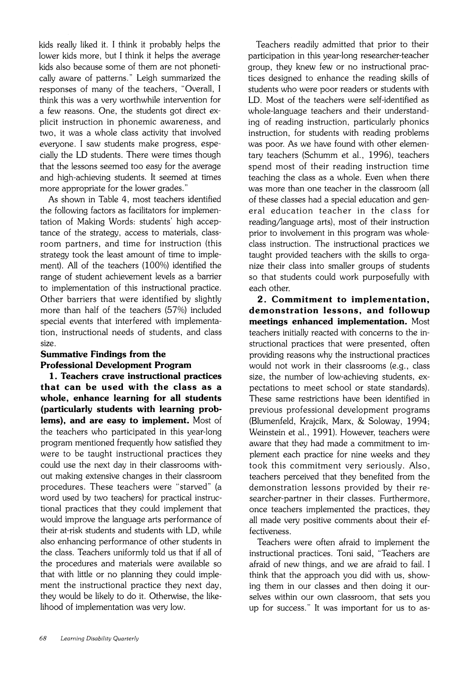kids really liked it. I think it probably helps the lower kids more, but I think it helps the average kids also because some of them are not phonetically aware of patterns." Leigh summarized the responses of many of the teachers. "Overall. I think this was a very worthwhile intervention for a few reasons. One, the students got direct explicit instruction in phonemic awareness, and two, it was a whole class activity that involved everyone. I saw students make progress, especially the LD students. There were times though that the lessons seemed too easy for the average and high-achieving students. It seemed at times more appropriate for the lower grades."

As shown in Table 4, most teachers identified the following factors as facilitators for implementation of Making Words: students' high acceptance of the strategy, access to materials, classroom partners, and time for instruction (this strategy took the least amount of time to implement). All of the teachers (100%) identified the range of student achievement levels as a barrier to implementation of this instructional practice. Other barriers that were identified by slightly more than half of the teachers (57%) included special events that interfered with implementation, instructional needs of students, and class size.

#### **Summative Findings from the Professional Development Program**

**1. Teachers crave instructional practices that can be used with the class as a whole, enhance learning for all students (particularly students with learning problems), and are easy to implement.** Most of the teachers who participated in this year-long program mentioned frequently how satisfied they were to be taught instructional practices they could use the next day in their classrooms without making extensive changes in their classroom procedures. These teachers were "starved" (a word used by two teachers) for practical instructional practices that they could implement that would improve the language arts performance of their at-risk students and students with LD, while also enhancing performance of other students in the class. Teachers uniformly told us that if all of the procedures and materials were available so that with little or no planning they could implement the instructional practice they next day, they would be likely to do it. Otherwise, the likelihood of implementation was very low.

Teachers readily admitted that prior to their participation in this year-long researcher-teacher group, they knew few or no instructional practices designed to enhance the reading skills of students who were poor readers or students with LD. Most of the teachers were self-identified as whole-language teachers and their understanding of reading instruction, particularly phonics instruction, for students with reading problems was poor. As we have found with other elementary teachers (Schumm et al., 1996), teachers spend most of their reading instruction time teaching the class as a whole. Even when there was more than one teacher in the classroom (all of these classes had a special education and general education teacher in the class for reading/language arts), most of their instruction prior to involvement in this program was wholeclass instruction. The instructional practices we taught provided teachers with the skills to organize their class into smaller groups of students so that students could work purposefully with each other.

2. **Commitment to implementation, demonstration lessons, and followup meetings enhanced implementation.** Most teachers initially reacted with concerns to the instructional practices that were presented, often providing reasons why the instructional practices would not work in their classrooms (e.g., class size, the number of low-achieving students, expectations to meet school or state standards). These same restrictions have been identified in previous professional development programs (Blumenfeld, Krajcik, Marx, & Soloway, 1994; Weinstein et al., 1991). However, teachers were aware that they had made a commitment to implement each practice for nine weeks and they took this commitment very seriously. Also, teachers perceived that they benefited from the demonstration lessons provided by their researcher-partner in their classes. Furthermore, once teachers implemented the practices, they all made very positive comments about their effectiveness.

Teachers were often afraid to implement the instructional practices. Toni said. "Teachers are afraid of new things, and we are afraid to fail. I think that the approach you did with us, showing them in our classes and then doing it ourselves within our own classroom, that sets you up for success." It was important for us to as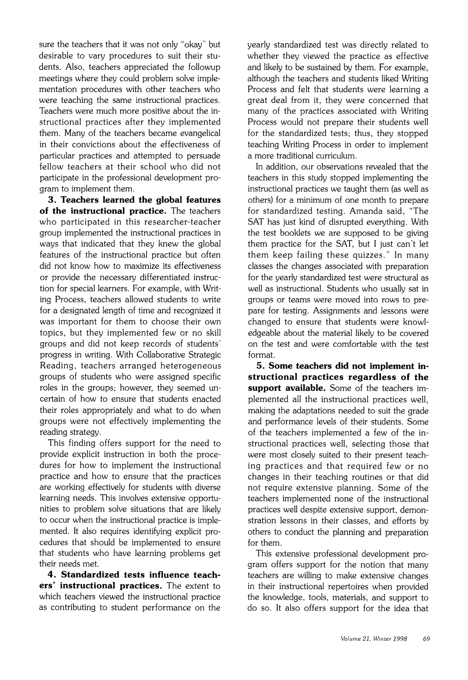sure the teachers that it was not only "okay" but desirable to vary procedures to suit their students. Also, teachers appreciated the followup meetings where they could problem solve implementation procedures with other teachers who were teaching the same instructional practices. Teachers were much more positive about the instructional practices after they implemented them. Many of the teachers became evangelical in their convictions about the effectiveness of particular practices and attempted to persuade fellow teachers at their school who did not participate in the professional development program to implement them.

3. **Teachers learned the global features of the instructional practice.** The teachers who participated in this researcher-teacher group implemented the instructional practices in ways that indicated that they knew the global features of the instructional practice but often did not know how to maximize its effectiveness or provide the necessary differentiated instruction for special learners. For example, with Writing Process, teachers allowed students to write for a designated length of time and recognized it was important for them to choose their own topics. but they implemented few or no skill groups and did not keep records of students' progress in writing. With Collaborative Strategic Reading, teachers arranged heterogeneous groups of students who were assigned specific roles in the groups; however, they seemed uncertain of how to ensure that students enacted their roles appropriately and what to do when groups were not effectively implementing the reading strategy.

This finding offers support for the need to provide explicit instruction in both the procedures for how to implement the instructional practice and how to ensure that the practices are working effectively for students with diverse learning needs. This involves extensive opportunities to problem solve situations that are likely to occur when the instructional practice is implemented. It also requires identifying explicit procedures that should be implemented to ensure that students who have learning problems get their needs met.

4. **Standardized tests influence teachers' instructional practices.** The extent to which teachers viewed the instructional practice as contributing to student performance on the yearly standardized test was directly related to whether they viewed the practice as effective and likely to be sustained by them. For example, although the teachers and students liked Writing Process and felt that students were learning a great deal from it, they were concerned that many of the practices associated with Writing Process would not prepare their students well for the standardized tests; thus, they stopped teaching Writing Process in order to implement a more traditional curriculum.

In addition, our observations revealed that the teachers in this study stopped implementing the instructional practices we taught them (as well as others) for a minimum of one month to prepare for standardized testing. Amanda said, "The SAT has just kind of disrupted everything. With the test booklets we are supposed to be giving them practice for the SAT, but I just can't let them keep failing these quizzes." In many classes the changes associated with preparation for the yearly standardized test were structural as well as instructional. Students who usually sat in groups or teams were moved into rows to prepare for testing. Assignments and lessons were changed to ensure that students were knowledgeable about the material likely to be covered on the test and were comfortable with the test format.

5. **Some teachers did not implement instructional practices regardless of the support available.** Some of the teachers implemented all the instructional practices well. making the adaptations needed to suit the grade and performance levels of their students. Some of the teachers implemented a few of the instructional practices well. selecting those that were most closely suited to their present teaching practices and that required few or no changes in their teaching routines or that did not require extensive planning. Some of the teachers implemented none of the instructional practices well despite extensive support, demonstration lessons in their classes, and efforts by others to conduct the planning and preparation for them.

This extensive professional development program offers support for the notion that many teachers are willing to make extensive changes in their instructional repertoires when provided the knowledge, tools, materials, and support to do so. It also offers support for the idea that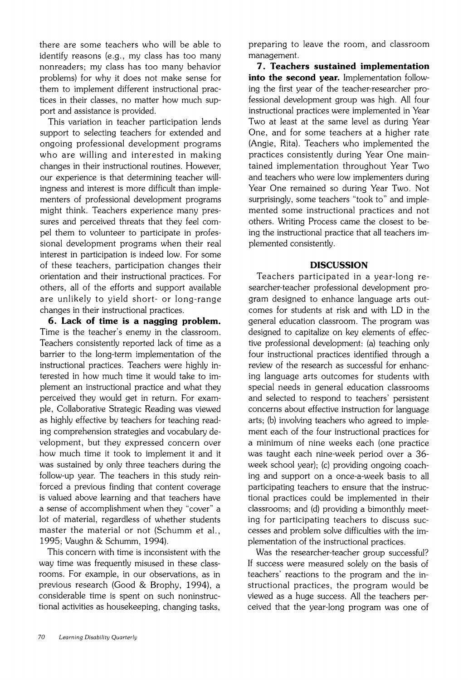there are some teachers who will be able to identify reasons (e.g., my class has too many nonreaders: my class has too many behavior problems) for why it does not make sense for them to implement different instructional practices in their classes, no matter how much support and assistance is provided.

This variation in teacher participation lends support to selecting teachers for extended and ongoing professional development programs who are willing and interested in making changes in their instructional routines. However. our experience is that determining teacher willingness and interest is more difficult than implementers of professional development programs might think. Teachers experience many pressures and perceived threats that they feel compel them to volunteer to participate in professional development programs when their real interest in participation is indeed low. For some of these teachers. participation changes their orientation and their instructional practices. For others. all of the efforts and support available are unlikely to yield short- or long-range changes in their instructional practices.

**6. Lack of time is a nagging problem.**  Time is the teacher's enemy in the classroom. Teachers consistently reported lack of time as a barrier to the long-term implementation of the instructional practices. Teachers were highly interested in how much time it would take to implement an instructional practice and what they perceived they would get in return. For example. Collaborative Strategic Reading was viewed as highly effective by teachers for teaching reading comprehension strategies and vocabulary development, but they expressed concern over how much time it took to implement it and it was sustained by only three teachers during the follow-up year. The teachers in this study reinforced a previous finding that content coverage is valued above learning and that teachers have a sense of accomplishment when they "cover" a lot of material, regardless of whether students master the material or not (Schumm et al., 1995: Vaughn & Schumm, 1994).

This concern with time is inconsistent with the way time was frequently misused in these classrooms. For example. in our observations. as in previous research (Good & Brophy. 1994). a considerable time is spent on such noninstructional activities as housekeeping, changing tasks.

preparing to leave the room, and classroom management.

7. **Teachers sustained implementation**  into the second year. Implementation following the first year of the teacher-researcher professional development group was high. All four instructional practices were implemented in Year Two at least at the same level as during Year One, and for some teachers at a higher rate (Angie, Rita). Teachers who implemented the practices consistently during Year One maintained implementation throughout Year Two and teachers who were low implementers during Year One remained so during Year Two. Not surprisingly, some teachers "took to" and implemented some instructional practices and not others. Writing Process came the closest to being the instructional practice that all teachers implemented consistently.

#### **DISCUSSION**

Teachers participated in a year-long researcher-teacher professional development program designed to enhance language arts outcomes for students at risk and with LD in the general education classroom. The program was designed to capitalize on key elements of effective professional development: (a) teaching only four instructional practices identified through a review of the research as successful for enhancing language arts outcomes for students with special needs in general education classrooms and selected to respond to teachers' persistent concerns about effective instruction for language arts; (b) involving teachers who agreed to implement each of the four instructional practices for a minimum of nine weeks each (one practice was taught each nine-week period over a *36* week school year); (c) providing ongoing coaching and support on a once-a-week basis to all participating teachers to ensure that the instructional practices could be implemented in their classrooms: and (d) providing a bimonthly meeting for participating teachers to discuss successes and problem solve difficulties with the implementation of the instructional practices.

Was the researcher-teacher group successful? If success were measured solely on the basis of teachers' reactions to the program and the instructional practices, the program would be viewed as a huge success. All the teachers perceived that the year-long program was one of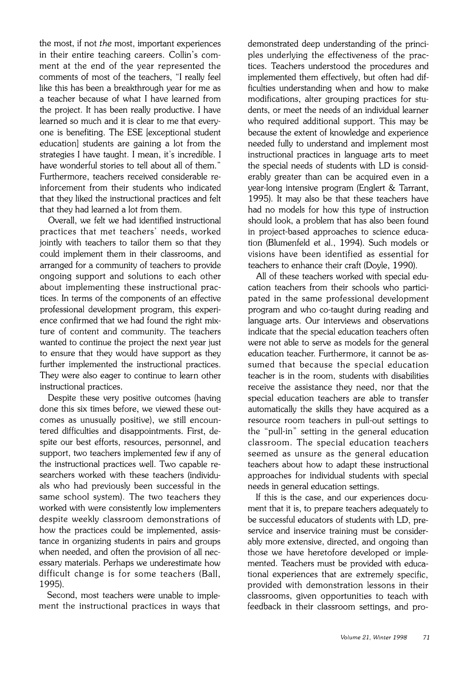the most, if not *the* most, important experiences in their entire teaching careers. Collin's comment at the end of the year represented the comments of most of the teachers, "I really feel like this has been a breakthrough year for me as a teacher because of what I have learned from the project. It has been really productive. I have learned so much and it is clear to me that everyone is benefiting. The ESE [exceptional student education] students are gaining a lot from the strategies I have taught. I mean. it's incredible. I have wonderful stories to tell about all of them." Furthermore, teachers received considerable reinforcement from their students who indicated that they liked the instructional practices and felt that they had learned a lot from them.

Overall. we felt we had identified instructional practices that met teachers' needs, worked jointly with teachers to tailor them so that they could implement them in their classrooms. and arranged for a community of teachers to provide ongoing support and solutions to each other about implementing these instructional practices. In terms of the components of an effective professional development program. this experience confirmed that we had found the right mixture of content and community. The teachers wanted to continue the project the next year just to ensure that they would have support as they further implemented the instructional practices. They were also eager to continue to learn other instructional practices.

Despite these very positive outcomes (having done this six times before, we viewed these outcomes as unusually positive), we still encountered difficulties and disappointments. First, despite our best efforts, resources, personnel. and support. two teachers implemented few if any of the instructional practices well. Two capable researchers worked with these teachers (individuals who had previously been successful in the same school system). The two teachers they worked with were consistently low implementers despite weekly classroom demonstrations of how the practices could be implemented, assistance in organizing students in pairs and groups when needed, and often the provision of all necessary materials. Perhaps we underestimate how difficult change is for some teachers (Ball. 1995).

Second, most teachers were unable to implement the instructional practices in ways that demonstrated deep understanding of the principles underlying the effectiveness of the practices. Teachers understood the procedures and implemented them effectively. but often had difficulties understanding when and how to make modifications, alter grouping practices for students, or meet the needs of an individual learner who required additional support. This may be because the extent of knowledge and experience needed fully to understand and implement most instructional practices in language arts to meet the special needs of students with LD is considerably greater than can be acquired even in a year-long intensive program (Englert & Tarrant, 1995). It may also be that these teachers have had no models for how this type of instruction should look, a problem that has also been found in project-based approaches to science education (Blumenfeld et al., 1994). Such models or visions have been identified as essential for teachers to enhance their craft (Doyle, 1990).

All of these teachers worked with special education teachers from their schools who participated in the same professional development program and who co-taught during reading and language arts. Our interviews and observations indicate that the special education teachers often were not able to serve as models for the general education teacher. Furthermore, it cannot be assumed that because the special education teacher is in the room, students with disabilities receive the assistance they need, nor that the special education teachers are able to transfer automatically the skills they have acquired as a resource room teachers in pull-out settings to the "pull-in" setting in the general education classroom. The special education teachers seemed as unsure as the general education teachers about how to adapt these instructional approaches for individual students with special needs in general education settings.

If this is the case, and our experiences document that it is. to prepare teachers adequately to be successful educators of students with LD, preservice and inservice training must be considerably more extensive, directed, and ongoing than those we have heretofore developed or implemented. Teachers must be provided with educational experiences that are extremely specific. provided with demonstration lessons in their classrooms. given opportunities to teach with feedback in their classroom settings, and pro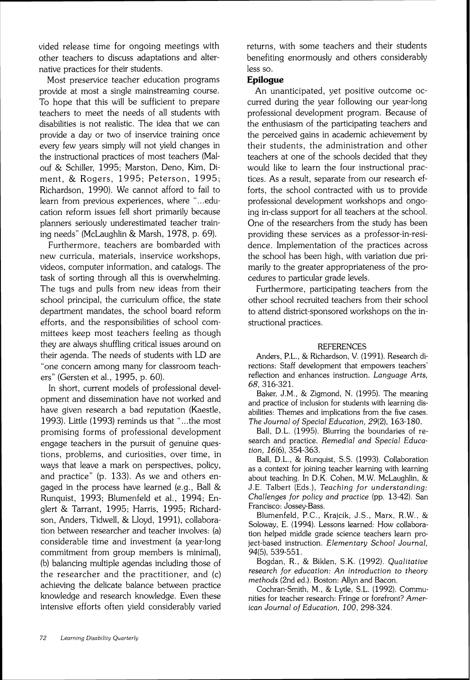vided release time for ongoing meetings with other teachers to discuss adaptations and alternative practices for their students.

Most preservice teacher education programs provide at most a single mainstreaming course. To hope that this will be sufficient to prepare teachers to meet the needs of all students with disabilities is not realistic. The idea that we can provide a day or two of inservice training once every few years simply will not yield changes in the instructional practices of most teachers (Malouf & Schiller. 1995: Marston. Deno, Kim, Diment, & Rogers. 1995: Peterson. 1995; Richardson, 1990). We cannot afford to fail to learn from previous experiences, where "...education reform issues fell short primarily because planners seriously underestimated teacher training needs" (McLaughlin & Marsh, 1978. p. 69).

Furthermore, teachers are bombarded with new curricula, materials, inservice workshops, videos, computer information. and catalogs. The task of sorting through all this is overwhelming. The tugs and pulls from new ideas from their school principal, the curriculum office, the state department mandates. the school board reform efforts, and the responsibilities of school committees keep most teachers feeling as though they are always shuffling critical issues around on their agenda. The needs of students with LD are "one concern among many for classroom teachers" (Gersten et al., 1995, p. 60).

In short, current models of professional development and dissemination have not worked and have given research a bad reputation (Kaestle, 1993). Little (1993) reminds us that "...the most promising forms of professional development engage teachers in the pursuit of genuine questions, problems, and curiosities, over time, in ways that leave a mark on perspectives, policy, and practice" (p. 133). As we and others engaged in the process have learned (e.g.. Ball & Runquist, 1993; Blumenfeld et al., 1994; Englert & Tarrant, 1995: Harris, 1995; Richardson, Anders, Tidwell, & Lloyd, 1991), collaboration between researcher and teacher involves: (a) considerable time and investment (a year-long commitment from group members is minimal). (b) balancing multiple agendas including those of the researcher and the practitioner, and (c) achieving the delicate balance between practice knowledge and research knowledge. Even these intensive efforts often yield considerably varied

returns, with some teachers and their students benefiting enormously and others considerably less so.

#### **Epilogue**

An unanticipated, yet positive outcome occurred during the year following our year-long professional development program. Because of the enthusiasm of the participating teachers and the perceived gains in academic achievement by their students, the administration and other teachers at one of the schools decided that they would like to learn the four instructional practices. As a result. separate from our research efforts, the school contracted with us to provide professional development workshops and ongoing in-class support for all teachers at the school. One of the researchers from the study has been providing these services as a professor-in-residence. Implementation of the practices across the school has been high. with variation due primarily to the greater appropriateness of the procedures to particular grade levels.

Furthermore. participating teachers from the other school recruited teachers from their school to attend district-sponsored workshops on the instructional practices.

#### **REFERENCES**

Anders, P.L.. & Richardson, V. (1991). Research directions: Staff development that empowers teachers' reflection and enhances instruction. Language Arts, 68. 316-321.

Baker. J.M.. & Zigmond. N. (1995). The meaning and practice of inclusion for students with learning disabilities: Themes and implications from the five cases. The Journal of Special Education, 29(2). 163-180.

Ball. D.L. (1995). Blurring the boundaries of research and practice. Remedial and Special Education, 16(6). 354-363.

Ball. D.L.. & Runquist. S.S. (1993). Collaboration as a context for joining teacher learning with learning about teaching. In D.K. Cohen, M.W. McLaughlin. & J.E. Talbert (Eds.). Teaching for understanding: Challenges for policy and practice (pp. 13-42). San Francisco: Jossey-Bass.

Blumenfeld, P.C., Krajcik, J.S., Marx, R.W., & Soloway, E. (1994). Lessons learned: How collaboration helped middle grade science teachers learn project-based instruction. Elementary School Journal, 94(5). 539-551.

Bogdan, R., & Biklen. S.K. (1992). Qualitative research for education: An introduction to theory methods (2nd ed.). Boston: Allyn and Bacon.

Cochran-Smith, M., & Lytle. S.L. (1992). Communities for teacher research: Fringe or forefront? American Journal of Education, 100, 298-324.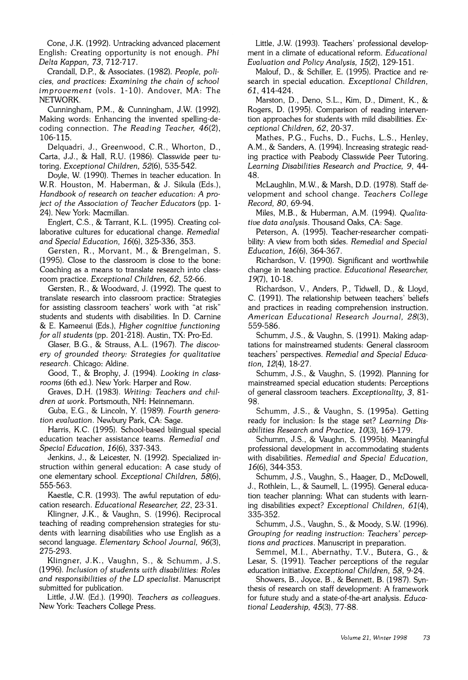Cone. J.K. (1992). Untracking advanced placement English: Creating opportunity is not enough. Phi Delta Kappan, 73. 712-717.

Crandall, D.P., & Associates. (1982). People, policies, and practices: Examining the chain of school improvement (vols. 1-10). Andover, MA: The NETWORK.

Cunningham. P.M., & Cunningham. J.W. (1992). Making words: Enhancing the invented spelling-decoding connection. The Reading Teacher, 46(2), 106-115.

Delquadri. J., Greenwood. C.R., Whorton. D.. Carta. J.J., & Hall, R.U.(1986). Classwide peer tutoring. Exceptional Children, 52(6). 535-542.

Doyle, W. (1990). Themes in teacher education. In W.R. Houston, M. Haberman. & J. Sikula (Eds.), Handbook of research on teacher education: A project of the Association of Teacher Educators (pp. 1- 24). New York: Macmillan.

Englert. C.S., & Tarrant. K.L. (1995). Creating collaborative cultures for educational change. Remedial and Special Education, 16(6). 325-336, 353.

Gersten. R.. Morvant. M.. & Brengelman. S. (1995). Close to the classroom is close to the bone: Coaching as a means to translate research into classroom practice. Exceptional Children, 62. 52-66.

Gersten, R., & Woodward. J. (1992). The quest to translate research into classroom practice: Strategies for assisting classroom teachers' work with "at risk" students and students with disabilities. In D. Carnine & E. Kameenui (Eds.). Higher cognitive functioning for all students (pp. 201-218). Austin. TX: Pro-Ed.

Glaser, B.G.. & Strauss. A.L. (1967). The discovery of grounded theory: Strategies for qualitative research. Chicago: Aldine.

Good, T., & Brophy, J. (1994). Looking in classrooms (6th ed.). New York: Harper and Row.

Graves, D.H. (1983). Writing: Teachers and children at work. Portsmouth. NH: Heinnemann.

Guba, E.G.. & Lincoln. Y. (1989). Fourth generation evaluation. Newbury Park. CA: Sage.

Harris. K.C. (1995). School-based bilingual special education teacher assistance teams. Remedial and Special Education, 16(6). 337-343.

Jenkins. J.. & Leicester. N. (1992). Specialized instruction within general education: A case study of one elementary school. Exceptional Children, 58(6), 555-563.

Kaestle, C.R. (1993). The awful reputation of education research. Educational Researcher, 22, 23-31.

Klingner. J.K., & Vaughn. S. (1996). Reciprocal teaching of reading comprehension strategies for students with learning disabilities who use English as a second language. Elementary School Journal, 96(3), 275-293.

Klingner, J.K.. Vaughn. S.. & Schumm, J.S. (1996). Inclusion of students with disabilities: Roles and responsibilities of the LD specialist. Manuscript submitted for publication.

Little. J.W. (Ed.). (1990). Teachers as colleagues. New York: Teachers College Press.

Little. J.W. (1993). Teachers' professional development in a climate of educational reform. Educational Evaluation and Policy Analysis, 15(2). 129-151.

Malouf. D.. & Schiller. E. (1995). Practice and research in special education. Exceptional Children, 61, 414-424.

Marston. D.. Deno. S.L.. Kim. D., Diment, K.. & Rogers. D. (1995). Comparison of reading intervention approaches for students with mild disabilities. Exceptional Children, 62, 20-37.

Mathes, P.G., Fuchs. D.. Fuchs, L.S.. Henley. A.M., & Sanders. A. (1994). Increasing strategic reading practice with Peabody Classwide Peer Tutoring. Learning Disabilities Research and Practice, 9. 44- 48.

McLaughlin. M.W.. & Marsh. D.D. (1978). Staff development and school change. Teachers College Record, 80. 69-94.

Miles, M.B., & Huberman, A.M. (1994). Qualitative data analysis. Thousand Oaks, CA: Sage.

Peterson, A. (1995). Teacher-researcher compatibility: A view from both sides. Remedial and Special Education, 16(6), 364-367.

Richardson. V. (1990). Significant and worthwhile change in teaching practice. Educational Researcher, 19(7), 10-18.

Richardson, V., Anders, P., Tidwell, D.. & Lloyd. C. (1991). The relationship between teachers' beliefs and practices in reading comprehension instruction. American Educational Research Journal, 28(3), 559-586.

Schumm. J.S., & Vaughn. S. (1991). Making adaptations for mainstreamed students: General classroom teachers' perspectives. Remedial and Special Education, 12(4). 18-27.

Schumm, J.S.. & Vaughn, S. (1992). Planning for mainstreamed special education students: Perceptions of general classroom teachers. Exceptionality, **3,** 81- 98.

Schumm. J.S.. & Vaughn. S. (1995a). Getting ready for inclusion: Is the stage set? Learning Disabilities Research and Practice, 1O(3). 169-179.

Schumm. J.S.. & Vaughn. S. (1995b). Meaningful professional development in accommodating students with disabilities. Remedial and Special Education, 16(6). 344-353.

Schumm. J.S.. Vaughn. S.. Haager. D.. McDowell. J.. Rothlein. L., & Saumell. L. (1995). General education teacher planning: What can students with learning disabilities expect? Exceptional Children, 61(4), 335-352.

Schumm. J.S.. Vaughn. S.. & Moody. S.W. (1996). Grouping for reading instruction: Teachers' perceptions and practices. Manuscript in preparation.

Semmel, M.I., Abernathy, T.V., Butera, G., & Lesar, S. (1991). Teacher perceptions of the regular education initiative. Exceptional Children, 58. 9-24.

Showers. B.. Joyce. B.. & Bennett. B. (1987). Synthesis of research on staff development: A framework for future study and a state-of-the-art analysis. Educational Leadership, 45(3), 77-88.